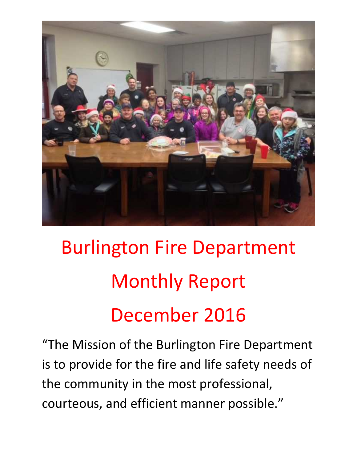

# Burlington Fire Department Monthly Report December 2016

"The Mission of the Burlington Fire Department is to provide for the fire and life safety needs of the community in the most professional, courteous, and efficient manner possible."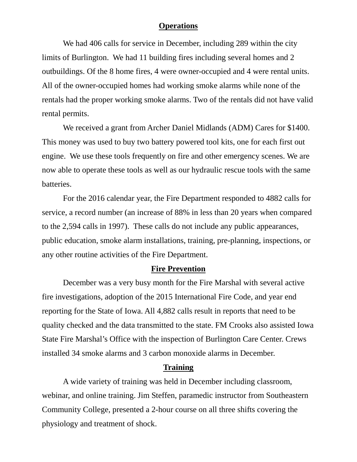#### **Operations**

We had 406 calls for service in December, including 289 within the city limits of Burlington. We had 11 building fires including several homes and 2 outbuildings. Of the 8 home fires, 4 were owner-occupied and 4 were rental units. All of the owner-occupied homes had working smoke alarms while none of the rentals had the proper working smoke alarms. Two of the rentals did not have valid rental permits.

We received a grant from Archer Daniel Midlands (ADM) Cares for \$1400. This money was used to buy two battery powered tool kits, one for each first out engine. We use these tools frequently on fire and other emergency scenes. We are now able to operate these tools as well as our hydraulic rescue tools with the same batteries.

For the 2016 calendar year, the Fire Department responded to 4882 calls for service, a record number (an increase of 88% in less than 20 years when compared to the 2,594 calls in 1997). These calls do not include any public appearances, public education, smoke alarm installations, training, pre-planning, inspections, or any other routine activities of the Fire Department.

#### **Fire Prevention**

December was a very busy month for the Fire Marshal with several active fire investigations, adoption of the 2015 International Fire Code, and year end reporting for the State of Iowa. All 4,882 calls result in reports that need to be quality checked and the data transmitted to the state. FM Crooks also assisted Iowa State Fire Marshal's Office with the inspection of Burlington Care Center. Crews installed 34 smoke alarms and 3 carbon monoxide alarms in December.

### **Training**

 A wide variety of training was held in December including classroom, webinar, and online training. Jim Steffen, paramedic instructor from Southeastern Community College, presented a 2-hour course on all three shifts covering the physiology and treatment of shock.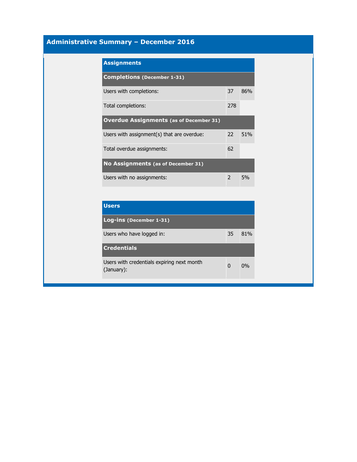# **Administrative Summary – December 2016**

| <b>Assignments</b>                             |               |     |  |  |
|------------------------------------------------|---------------|-----|--|--|
| <b>Completions (December 1-31)</b>             |               |     |  |  |
| Users with completions:                        | 37            | 86% |  |  |
| Total completions:                             | 278           |     |  |  |
| <b>Overdue Assignments (as of December 31)</b> |               |     |  |  |
| Users with assignment(s) that are overdue:     | $22^{\circ}$  | 51% |  |  |
| Total overdue assignments:                     | 62            |     |  |  |
| No Assignments (as of December 31)             |               |     |  |  |
| Users with no assignments:                     | $\mathcal{P}$ | 5%  |  |  |

| <b>Users</b>                                             |    |     |
|----------------------------------------------------------|----|-----|
| Log-ins (December 1-31)                                  |    |     |
| Users who have logged in:                                | 35 | 81% |
| <b>Credentials</b>                                       |    |     |
| Users with credentials expiring next month<br>(January): | 0  | 0%  |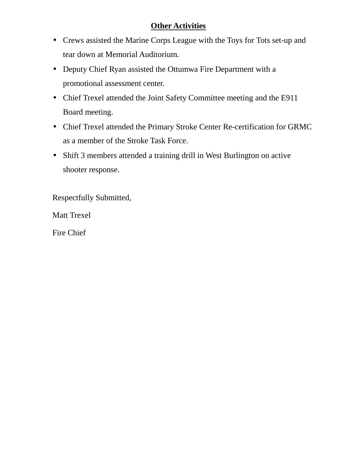# **Other Activities**

- Crews assisted the Marine Corps League with the Toys for Tots set-up and tear down at Memorial Auditorium.
- Deputy Chief Ryan assisted the Ottumwa Fire Department with a promotional assessment center.
- Chief Trexel attended the Joint Safety Committee meeting and the E911 Board meeting.
- Chief Trexel attended the Primary Stroke Center Re-certification for GRMC as a member of the Stroke Task Force.
- Shift 3 members attended a training drill in West Burlington on active shooter response.

Respectfully Submitted,

Matt Trexel

Fire Chief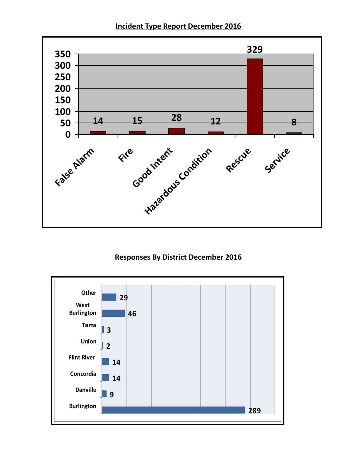**Incident Type Report December 2016** 



## **Responses By District December 2016**

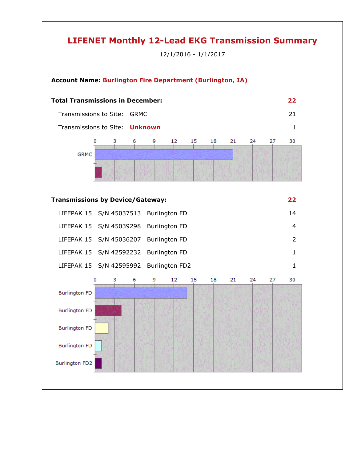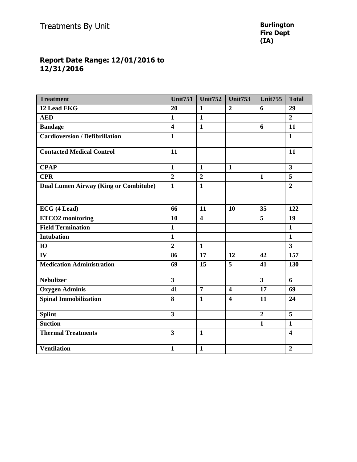#### **Report Date Range: 12/01/2016 to 12/31/2016**

| <b>Treatment</b>                             | <b>Unit751</b>          | <b>Unit752</b>          | Unit753                 | <b>Unit755</b>          | <b>Total</b>            |
|----------------------------------------------|-------------------------|-------------------------|-------------------------|-------------------------|-------------------------|
| 12 Lead EKG                                  | 20                      | $\mathbf{1}$            | $\boldsymbol{2}$        | 6                       | 29                      |
| <b>AED</b>                                   | $\mathbf{1}$            | $\mathbf{1}$            |                         |                         | $\overline{2}$          |
| <b>Bandage</b>                               | $\overline{\mathbf{4}}$ | $\mathbf{1}$            |                         | 6                       | 11                      |
| <b>Cardioversion / Defibrillation</b>        | $\mathbf{1}$            |                         |                         |                         | $\mathbf{1}$            |
| <b>Contacted Medical Control</b>             | 11                      |                         |                         |                         | 11                      |
| <b>CPAP</b>                                  | $\mathbf{1}$            | $\mathbf{1}$            | $\mathbf{1}$            |                         | $\overline{3}$          |
| <b>CPR</b>                                   | $\overline{2}$          | $\overline{2}$          |                         | $\mathbf{1}$            | $\overline{5}$          |
| <b>Dual Lumen Airway (King or Combitube)</b> | $\mathbf{1}$            | $\mathbf{1}$            |                         |                         | $\overline{2}$          |
| ECG (4 Lead)                                 | 66                      | 11                      | 10                      | 35                      | 122                     |
| <b>ETCO2</b> monitoring                      | 10                      | $\overline{\mathbf{4}}$ |                         | 5                       | 19                      |
| <b>Field Termination</b>                     | $\mathbf{1}$            |                         |                         |                         | $\mathbf{1}$            |
| <b>Intubation</b>                            | $\mathbf{1}$            |                         |                         |                         | $\mathbf{1}$            |
| <b>IO</b>                                    | $\overline{2}$          | $\mathbf{1}$            |                         |                         | $\overline{3}$          |
| IV                                           | 86                      | 17                      | 12                      | 42                      | 157                     |
| <b>Medication Administration</b>             | 69                      | 15                      | 5                       | 41                      | 130                     |
| <b>Nebulizer</b>                             | $\overline{3}$          |                         |                         | $\overline{\mathbf{3}}$ | 6                       |
| <b>Oxygen Adminis</b>                        | 41                      | $\overline{7}$          | $\overline{\mathbf{4}}$ | 17                      | 69                      |
| <b>Spinal Immobilization</b>                 | 8                       | $\mathbf{1}$            | $\overline{\mathbf{4}}$ | 11                      | 24                      |
| <b>Splint</b>                                | $\overline{\mathbf{3}}$ |                         |                         | $\overline{2}$          | 5                       |
| <b>Suction</b>                               |                         |                         |                         | $\mathbf{1}$            | $\mathbf{1}$            |
| <b>Thermal Treatments</b>                    | $\overline{\mathbf{3}}$ | $\mathbf{1}$            |                         |                         | $\overline{\mathbf{4}}$ |
| <b>Ventilation</b>                           | $\mathbf{1}$            | $\mathbf{1}$            |                         |                         | $\boldsymbol{2}$        |